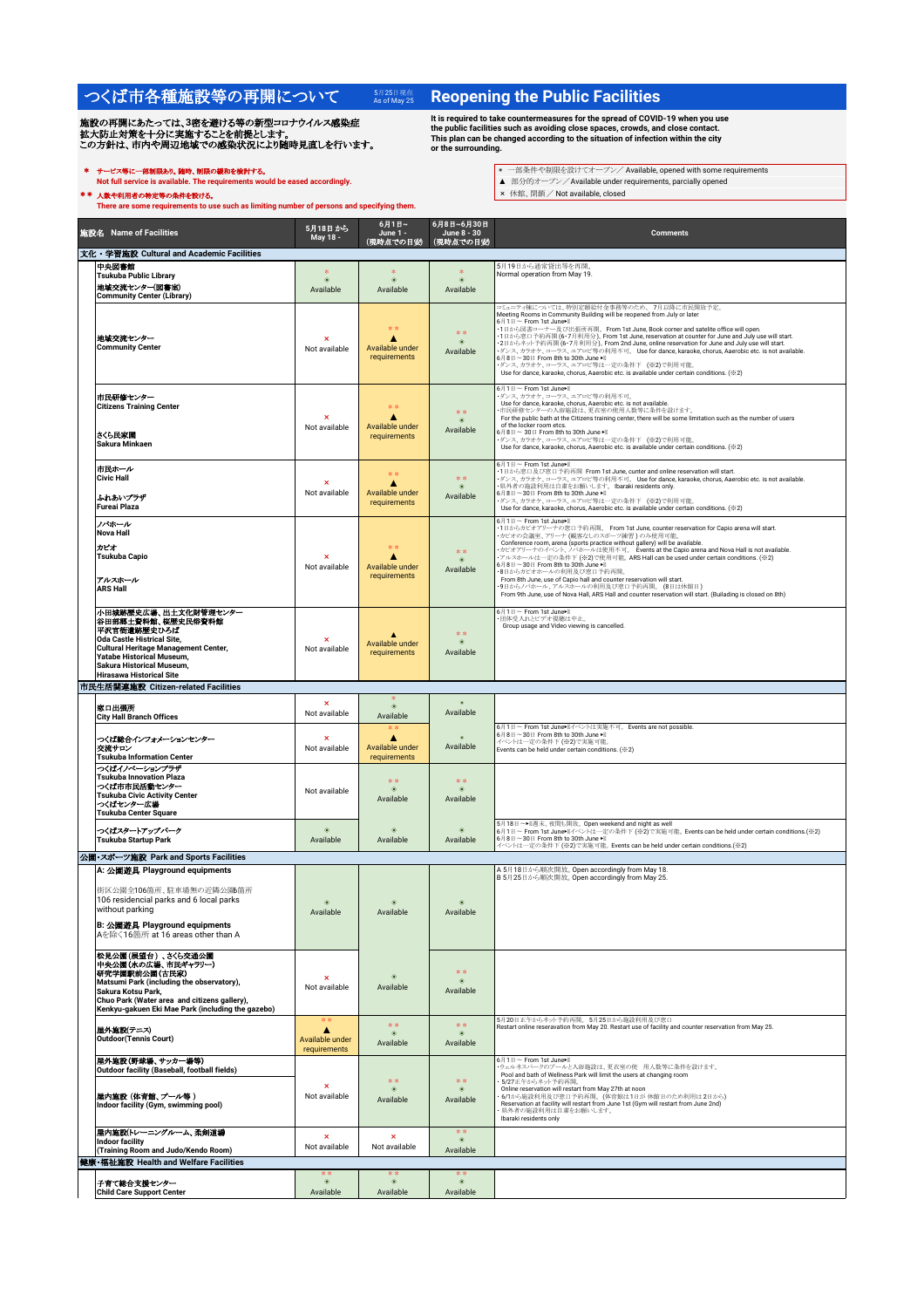## つくば市各種施設等の再開について 5月25日現在

施設の再開にあたっては、3密を避ける等の新型コロナウイルス感染症<br>拡大防止対策を十分に実施することを前提とします。<br>この方針は、市内や周辺地域での感染状況により随時見直しを行います。

<del>サービス等に一部</del>制限あり**。随時、制限の緩和を検討する。**<br>Not full service is available. The requirements would be eased accordingly.

\*\* 人数や利用者の特定等の条件を設ける。<br>There are some requirements to use such as limiting number of persons and specifying them.

## **Reopening the Public Facilities**

It is required to take countermeasures for the spread of COVID-19 when you use<br>the public facilities such as avoiding close spaces, crowds, and close contact.<br>This plan can be changed according to the situation of infectio

- \* サービス等に一部制限あり。随時、制限䛾緩和を検討する。 ◉ 一部条件や制限を設けてオープン/ Available, opened with some requirements
	-

|                                      | 施設名 Name of Facilities                                                                                                                                                                                                                    | 5月18日から<br>May 18 -                                   | 6月1日~<br>June 1 -<br>(現時点での目安)                  | 6月8日~6月30日<br>June 8 - 30<br>(現時点での目安)       | <b>Comments</b>                                                                                                                                                                                                                                                                                                                                                                                                                                                                                                                                                                                                                                                                                            |  |  |
|--------------------------------------|-------------------------------------------------------------------------------------------------------------------------------------------------------------------------------------------------------------------------------------------|-------------------------------------------------------|-------------------------------------------------|----------------------------------------------|------------------------------------------------------------------------------------------------------------------------------------------------------------------------------------------------------------------------------------------------------------------------------------------------------------------------------------------------------------------------------------------------------------------------------------------------------------------------------------------------------------------------------------------------------------------------------------------------------------------------------------------------------------------------------------------------------------|--|--|
|                                      | 文化・学習施設 Cultural and Academic Facilities                                                                                                                                                                                                  |                                                       |                                                 |                                              | 5月19日から通常貸出等を再開。                                                                                                                                                                                                                                                                                                                                                                                                                                                                                                                                                                                                                                                                                           |  |  |
|                                      | 中央図書館<br><b>Tsukuba Public Library</b><br>地域交流センター(図書室)<br><b>Community Center (Library)</b>                                                                                                                                              | 家<br>$\circledcirc$<br>Available                      | 家<br>$\circledast$<br>Available                 | $\frac{1}{2}$<br>$\bullet$<br>Available      | Normal operation from May 19.                                                                                                                                                                                                                                                                                                                                                                                                                                                                                                                                                                                                                                                                              |  |  |
|                                      | 地域交流センター<br><b>Community Center</b>                                                                                                                                                                                                       | ×<br>Not available                                    | **<br>A<br>Available under<br>requirements      | $\ast$ $\ast$<br>$\circledcirc$<br>Available | コミュニティ棟については、特別定額給付金事務等のため、7月以降に市民開放予定。<br>Meeting Rooms in Community Building will be reopened from July or later<br>6月1日~ From 1st June><br>·1日から図書コーナー及び出張所再開。From 1st June, Book corner and satelite office will open.<br>• 1日から窓口子約再開 (6•7月利用分)。From 1st June, reservation at counter for June and July use will start.<br>• 1日から窓口子約再開 (6•7月利用分)。From 1st June, reservation at counter for June and July use will start.<br>- ダンス、カラオケ、コーラス、エアロビ等の利用不可。Use for dance, karaoke, chorus, Aaerobic etc. is not available.<br>6月8日~30日 From 8th to 30th June > II<br>・ダンス、カラオケ、コーラス、エアロビ等は一定の条件下 (※2)で利用可能。<br>Use for dance, karaoke, chorus, Aaerobic etc. is available under certain conditions. (※2) |  |  |
|                                      | 市民研修センター<br><b>Citizens Training Center</b><br>さくら民家園<br>Sakura Minkaen                                                                                                                                                                   | ×<br>Not available                                    | **<br>Δ<br>Available under<br>requirements      | **<br>$\circledcirc$<br>Available            | 6月1日~ From 1st June>II<br>・ダンス、カラオケ、コーラス、エアロビ等の利用不可。<br>Use for dance, karaoke, chorus, Aaerobic etc. is not available.<br>市民研修センターの入浴施設は、更衣室の使用人数等に条件を設けます。<br>For the public bath at the Citizens training center, there will be some limitation such as the number of users<br>of the locker room etcs.<br>6月8日~30日 From 8th to 30th June<br>ダンス、カラオケ、コーラス、エアロビ等は一定の条件下 (※2)で利用可能。<br>Use for dance, karaoke, chorus, Aaerobic etc. is available under certain conditions. (※2)                                                                                                                                                                                                                         |  |  |
|                                      | 市民ホール<br><b>Civic Hall</b><br>ふれあいプラザ<br><b>Fureai Plaza</b>                                                                                                                                                                              | Not available                                         | $\gg 1$<br>Δ<br>Available under<br>requirements | * *<br>$\circ$<br>Available                  | 6月1日~ From 1st June><br>·1日から窓口及び窓口予約再開 From 1st June, cunter and online reservation will start.<br>- ダンス、カラオケ、コーラス、エアロビ等の利用不可。 Use for dance, karaoke, chorus, Aaerobic etc. is not available.<br>・県外者の施設利用は自粛をお願いします。 Ibaraki residents only.<br>6月8日~30日 From 8th to 30th June ▶ II<br>・ダンス、カラオケ、コーラス、エアロビ等は一定の条件下 (※2)で利用可能。<br>Use for dance, karaoke, chorus, Aaerobic etc. is available under certain conditions. (※2)                                                                                                                                                                                                                                                                              |  |  |
|                                      | ノバホール<br><b>Nova Hall</b><br>カビオ<br><b>Tsukuba Capio</b><br>アルスホール<br><b>ARS Hall</b>                                                                                                                                                     | Not available                                         | 38.38<br>Δ<br>Available under<br>requirements   | **<br>$\circledcirc$<br>Available            | 6月1日~ From 1st June><br>•1日からカピオアリーナの窓口予約再開。 From 1st June, counter reservation for Capio arena will start.<br>・カビオの会議室、アリーナ (観客なしのスポーツ練習)のみ使用可能<br>Conference room, arena (sports practice without gallery) will be available.<br>カビオアリーナのイベント、ノバホールは使用不可。 Events at the Capio arena and Nova Hall is not available.<br>アルスホールは一定の条件下 (※2)で使用可能。ARS Hall can be used under certain conditions. (※2)<br>6月8日~30日 From 8th to 30th June > II<br>・8日からカビオホールの利用及び窓口予約再開。<br>From 8th June, use of Capio hall and counter reservation will start.<br>・9日からノバホール、アルスホールの利用及び窓口予約再開。(8日は休館日)<br>From 9th June, use of Nova Hall, ARS Hall and counter reservation will start. (Builading is closed on 8th)      |  |  |
|                                      | 小田城跡歴史広場、出土文化財管理センター<br>谷田部郷土資料館、桜歴史民俗資料館<br>平沢官衙遺跡歴史ひろば<br><b>Oda Castle Histrical Site,</b><br><b>Cultural Heritage Management Center,</b><br>Yatabe Historical Museum,<br>Sakura Historical Museum,<br><b>Hirasawa Historical Site</b> | $\boldsymbol{\mathsf{x}}$<br>Not available            | A<br>Available under<br>requirements            | **<br>$\circledcirc$<br>Available            | 6月1日~ From 1st June><br>・団体受入れとビデオ視聴は中止。<br>Group usage and Video viewing is cancelled.                                                                                                                                                                                                                                                                                                                                                                                                                                                                                                                                                                                                                    |  |  |
|                                      | 市民生活関連施設 Citizen-related Facilities                                                                                                                                                                                                       |                                                       |                                                 |                                              |                                                                                                                                                                                                                                                                                                                                                                                                                                                                                                                                                                                                                                                                                                            |  |  |
|                                      |                                                                                                                                                                                                                                           | $\pmb{\times}$                                        | $\circledcirc$                                  |                                              |                                                                                                                                                                                                                                                                                                                                                                                                                                                                                                                                                                                                                                                                                                            |  |  |
|                                      | 窓口出張所<br><b>City Hall Branch Offices</b>                                                                                                                                                                                                  | Not available                                         | Available                                       | Available                                    |                                                                                                                                                                                                                                                                                                                                                                                                                                                                                                                                                                                                                                                                                                            |  |  |
|                                      | つくば総合インフォメーションセンター<br>交流サロン<br><b>Tsukuba Information Center</b>                                                                                                                                                                          | $\boldsymbol{\mathsf{x}}$<br>Not available            | * *<br>Δ<br>Available under<br>requirements     | Available                                    | 6月1日~ From 1st June> 1/ベントは実施不可。 Events are not possible.<br>6月8日~30日 From 8th to 30th June<br>イベントは一定の条件下 (※2)で実施可能<br>Events can be held under certain conditions. (※2)                                                                                                                                                                                                                                                                                                                                                                                                                                                                                                                                  |  |  |
|                                      | つくばイノベーションプラザ<br><b>Tsukuba Innovation Plaza</b><br>つくば市市民活動センター<br><b>Tsukuba Civic Activity Center</b><br>つくばセンター広場<br><b>Tsukuba Center Square</b>                                                                                     | Not available                                         | **<br>$\circledcirc$<br>Available               | * *<br>$\circ$<br>Available                  |                                                                                                                                                                                                                                                                                                                                                                                                                                                                                                                                                                                                                                                                                                            |  |  |
|                                      | つくばスタートアップパーク<br><b>Tsukuba Startup Park</b>                                                                                                                                                                                              | $\circ$<br>Available                                  | $\circ$<br>Available                            | $\circ$<br>Available                         | 5月18日~▶ 图进末、夜間も開放。Open weekend and night as well<br>6月1日~ From 1st June ヨイベントは一定の条件下 (※2)で実施可能。Events can be held under certain conditions. (※2)<br>6月8日~30日 From 8th to 30th June ▶ II<br>イベントは一定の条件下 (※2)で実施可能。 Events can be held under certain conditions.(※2)                                                                                                                                                                                                                                                                                                                                                                                                                                         |  |  |
| 公園・スポーツ施設 Park and Sports Facilities |                                                                                                                                                                                                                                           |                                                       |                                                 |                                              |                                                                                                                                                                                                                                                                                                                                                                                                                                                                                                                                                                                                                                                                                                            |  |  |
|                                      | A: 公園遊具 Playground equipments<br>街区公園全106箇所、駐車場無の近隣公園6箇所<br>106 residencial parks and 6 local parks<br>without parking<br>B: 公園遊具 Playground equipments<br>Aを除く16箇所 at 16 areas other than A                                              | $\circledcirc$<br>Available                           | $\circledcirc$<br>Available                     | $\circ$<br>Available                         | A 5月18日から順次開放。Open accordingly from May 18.<br>B 5月25日から順次開放。 Open accordingly from May 25.                                                                                                                                                                                                                                                                                                                                                                                                                                                                                                                                                                                                                |  |  |
|                                      | 松見公園(展望台)、さくら交通公園<br>中央公園(水の広場、市民ギャラリー)<br>研究学園駅前公園(古民家)<br>Matsumi Park (including the observatory),<br>Sakura Kotsu Park,<br>Chuo Park (Water area and citizens gallery),<br>Kenkyu-gakuen Eki Mae Park (including the gazebo)          | $\boldsymbol{\mathsf{x}}$<br>Not available            | $\circledcirc$<br>Available                     | * *<br>$\bullet$<br>Available                |                                                                                                                                                                                                                                                                                                                                                                                                                                                                                                                                                                                                                                                                                                            |  |  |
|                                      | 屋外施設(テニス)<br><b>Outdoor</b> (Tennis Court)                                                                                                                                                                                                | $\ast$ $\ast$<br>Δ<br>Available under<br>requirements | **<br>$\circledcirc$<br>Available               | **<br>$\circledcirc$<br>Available            | 5月20日正午からネット予約再開。5月25日から施設利用及び窓口<br>Restart online reseravation from May 20. Restart use of facility and counter reservation from May 25.                                                                                                                                                                                                                                                                                                                                                                                                                                                                                                                                                                  |  |  |
|                                      | 屋外施設(野球場、サッカー場等)                                                                                                                                                                                                                          |                                                       |                                                 |                                              | 6月1日~ From 1st June><br>ウェルネスパークのプールと入浴施設は、更衣室の使用人数等に条件を設けます。                                                                                                                                                                                                                                                                                                                                                                                                                                                                                                                                                                                                                                              |  |  |
|                                      | <b>Outdoor facility (Baseball, football fields)</b><br>屋内施設 (体育館、プール等 )<br>Indoor facility (Gym, swimming pool)                                                                                                                           | $\mathbf x$<br>Not available                          | **<br>$\circledcirc$<br>Available               | * *<br>$\circledcirc$<br>Available           | Pool and bath of Wellness Park will limit the users at changing room<br>5/27正午からネット予約再開。<br>Online reservation will restart from May 27th at noon<br>6/1から施設利用及び窓口予約再開。(体育館は1日が休館日のため利用は2日から)<br>Reservation at facility will restart from June 1st (Gym will restart from June 2nd)<br>県外者の施設利用は自粛をお願いします。<br>Ibaraki residents only                                                                                                                                                                                                                                                                                                                                                                      |  |  |
|                                      | 屋内施設(トレーニングルーム、柔剣道場<br>Indoor facility                                                                                                                                                                                                    | $\pmb{\times}$<br>Not available                       | ×<br>Not available                              | **<br>$\circledcirc$<br>Available            |                                                                                                                                                                                                                                                                                                                                                                                                                                                                                                                                                                                                                                                                                                            |  |  |
|                                      | (Training Room and Judo/Kendo Room)<br>健康·福祉施設 Health and Welfare Facilities                                                                                                                                                              |                                                       |                                                 |                                              |                                                                                                                                                                                                                                                                                                                                                                                                                                                                                                                                                                                                                                                                                                            |  |  |
|                                      |                                                                                                                                                                                                                                           | **                                                    | $\divideontimes$                                | * *                                          |                                                                                                                                                                                                                                                                                                                                                                                                                                                                                                                                                                                                                                                                                                            |  |  |
|                                      | 子育て総合支援センター<br><b>Child Care Support Center</b>                                                                                                                                                                                           | $\circledcirc$<br>Available                           | $\circledast$<br>Available                      | $\circledcirc$<br>Available                  |                                                                                                                                                                                                                                                                                                                                                                                                                                                                                                                                                                                                                                                                                                            |  |  |